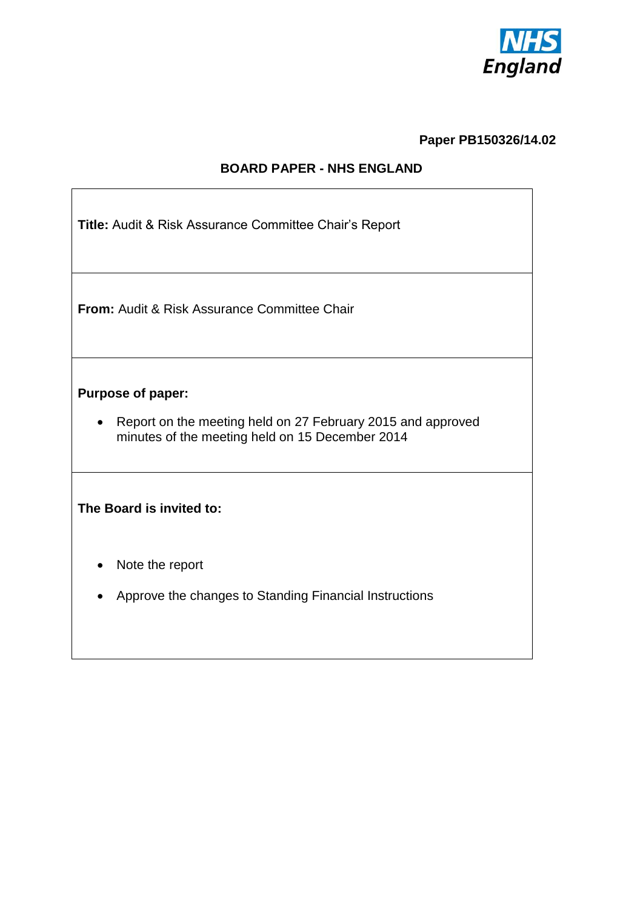

## **Paper PB150326/14.02**

# **BOARD PAPER - NHS ENGLAND**

| Title: Audit & Risk Assurance Committee Chair's Report |  |  |  |
|--------------------------------------------------------|--|--|--|
|                                                        |  |  |  |

**From:** Audit & Risk Assurance Committee Chair

## **Purpose of paper:**

• Report on the meeting held on 27 February 2015 and approved minutes of the meeting held on 15 December 2014

## **The Board is invited to:**

- Note the report
- Approve the changes to Standing Financial Instructions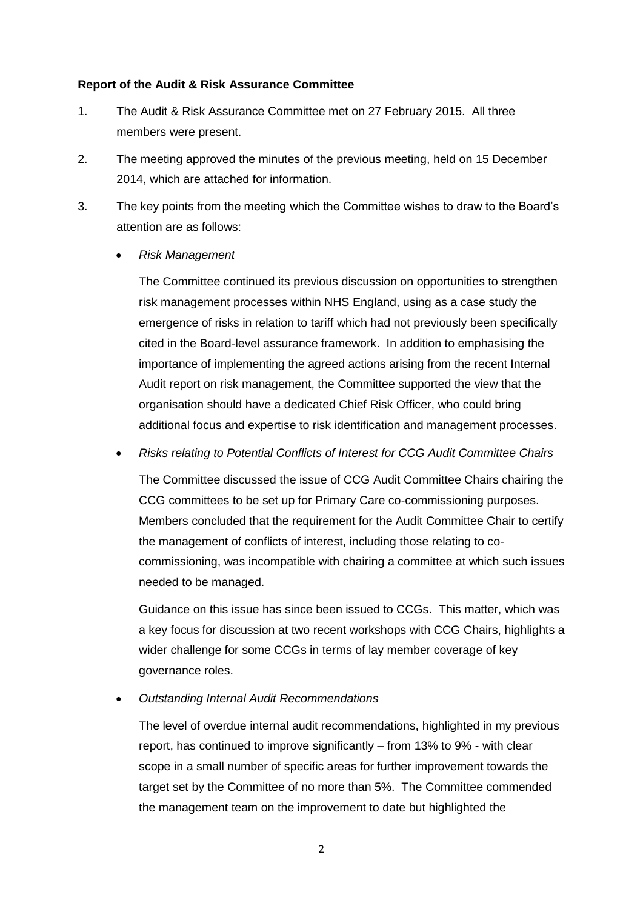#### **Report of the Audit & Risk Assurance Committee**

- 1. The Audit & Risk Assurance Committee met on 27 February 2015. All three members were present.
- 2. The meeting approved the minutes of the previous meeting, held on 15 December 2014, which are attached for information.
- 3. The key points from the meeting which the Committee wishes to draw to the Board's attention are as follows:
	- *Risk Management*

The Committee continued its previous discussion on opportunities to strengthen risk management processes within NHS England, using as a case study the emergence of risks in relation to tariff which had not previously been specifically cited in the Board-level assurance framework. In addition to emphasising the importance of implementing the agreed actions arising from the recent Internal Audit report on risk management, the Committee supported the view that the organisation should have a dedicated Chief Risk Officer, who could bring additional focus and expertise to risk identification and management processes.

*Risks relating to Potential Conflicts of Interest for CCG Audit Committee Chairs*

The Committee discussed the issue of CCG Audit Committee Chairs chairing the CCG committees to be set up for Primary Care co-commissioning purposes. Members concluded that the requirement for the Audit Committee Chair to certify the management of conflicts of interest, including those relating to cocommissioning, was incompatible with chairing a committee at which such issues needed to be managed.

Guidance on this issue has since been issued to CCGs. This matter, which was a key focus for discussion at two recent workshops with CCG Chairs, highlights a wider challenge for some CCGs in terms of lay member coverage of key governance roles.

*Outstanding Internal Audit Recommendations*

The level of overdue internal audit recommendations, highlighted in my previous report, has continued to improve significantly – from 13% to 9% - with clear scope in a small number of specific areas for further improvement towards the target set by the Committee of no more than 5%. The Committee commended the management team on the improvement to date but highlighted the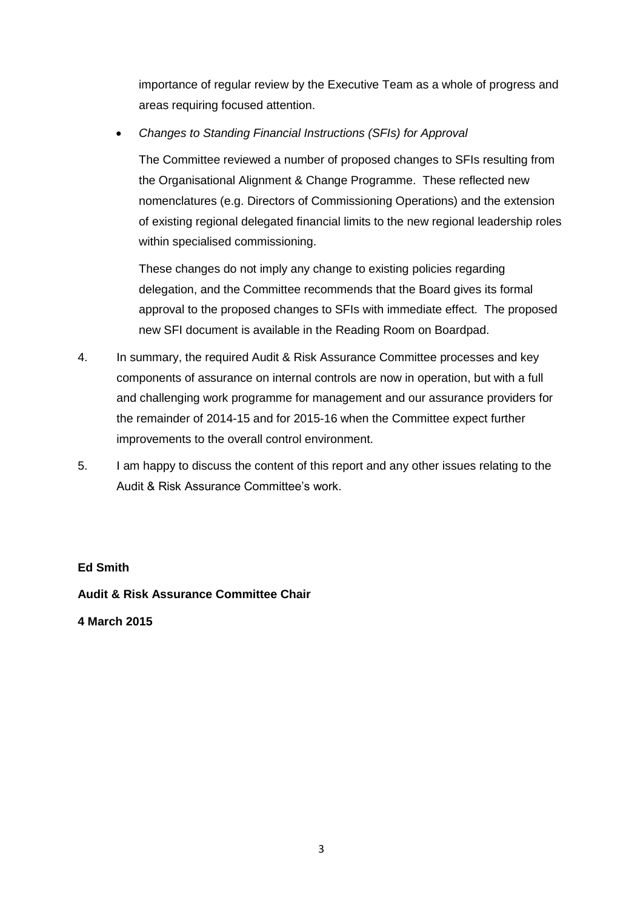importance of regular review by the Executive Team as a whole of progress and areas requiring focused attention.

*Changes to Standing Financial Instructions (SFIs) for Approval*

The Committee reviewed a number of proposed changes to SFIs resulting from the Organisational Alignment & Change Programme. These reflected new nomenclatures (e.g. Directors of Commissioning Operations) and the extension of existing regional delegated financial limits to the new regional leadership roles within specialised commissioning.

These changes do not imply any change to existing policies regarding delegation, and the Committee recommends that the Board gives its formal approval to the proposed changes to SFIs with immediate effect. The proposed new SFI document is available in the Reading Room on Boardpad.

- 4. In summary, the required Audit & Risk Assurance Committee processes and key components of assurance on internal controls are now in operation, but with a full and challenging work programme for management and our assurance providers for the remainder of 2014-15 and for 2015-16 when the Committee expect further improvements to the overall control environment.
- 5. I am happy to discuss the content of this report and any other issues relating to the Audit & Risk Assurance Committee's work.

## **Ed Smith**

**Audit & Risk Assurance Committee Chair**

**4 March 2015**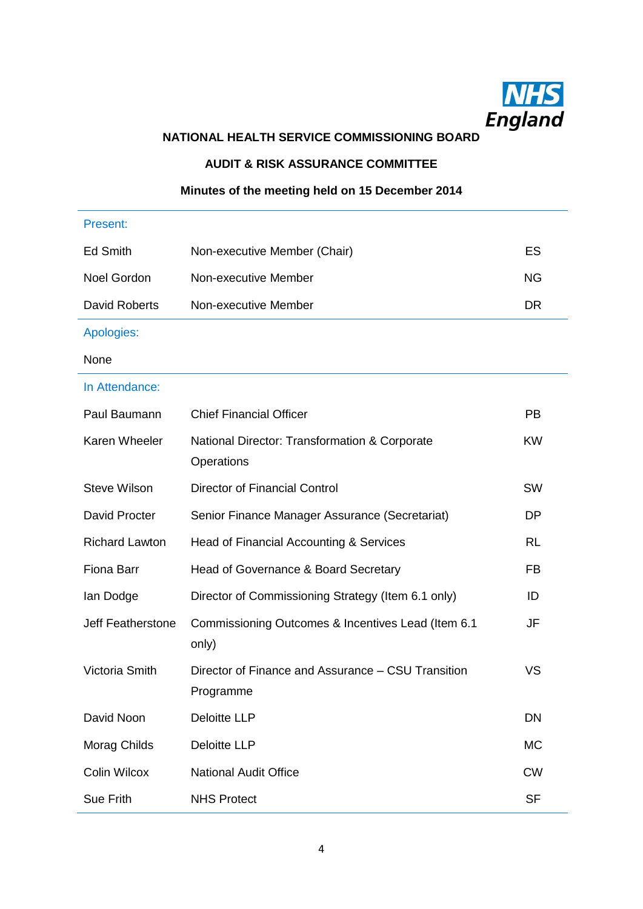

# **NATIONAL HEALTH SERVICE COMMISSIONING BOARD**

### **AUDIT & RISK ASSURANCE COMMITTEE**

# **Minutes of the meeting held on 15 December 2014**

| Present:                 |                                                                 |           |
|--------------------------|-----------------------------------------------------------------|-----------|
| <b>Ed Smith</b>          | Non-executive Member (Chair)                                    | ES        |
| <b>Noel Gordon</b>       | Non-executive Member                                            | <b>NG</b> |
| <b>David Roberts</b>     | Non-executive Member                                            | <b>DR</b> |
| Apologies:               |                                                                 |           |
| None                     |                                                                 |           |
| In Attendance:           |                                                                 |           |
| Paul Baumann             | <b>Chief Financial Officer</b>                                  | <b>PB</b> |
| Karen Wheeler            | National Director: Transformation & Corporate<br>Operations     | <b>KW</b> |
| <b>Steve Wilson</b>      | <b>Director of Financial Control</b>                            | <b>SW</b> |
| David Procter            | Senior Finance Manager Assurance (Secretariat)                  | DP        |
| <b>Richard Lawton</b>    | Head of Financial Accounting & Services                         | <b>RL</b> |
| Fiona Barr               | Head of Governance & Board Secretary                            | <b>FB</b> |
| lan Dodge                | Director of Commissioning Strategy (Item 6.1 only)              | ID        |
| <b>Jeff Featherstone</b> | Commissioning Outcomes & Incentives Lead (Item 6.1)<br>only)    | JF        |
| Victoria Smith           | Director of Finance and Assurance – CSU Transition<br>Programme | VS        |
| David Noon               | <b>Deloitte LLP</b>                                             | <b>DN</b> |
| Morag Childs             | <b>Deloitte LLP</b>                                             | <b>MC</b> |
| <b>Colin Wilcox</b>      | <b>National Audit Office</b>                                    | <b>CW</b> |
| Sue Frith                | <b>NHS Protect</b>                                              | <b>SF</b> |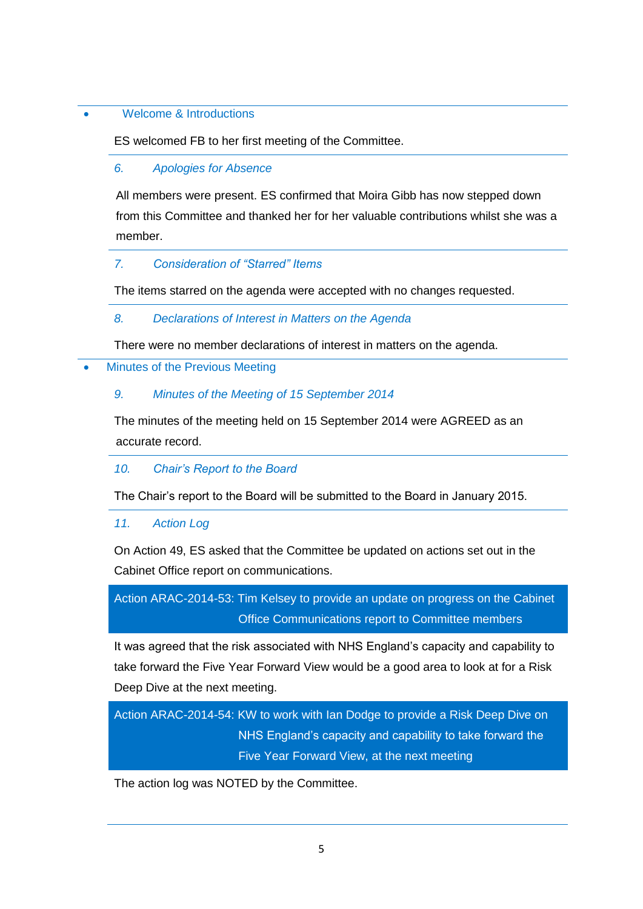## Welcome & Introductions

ES welcomed FB to her first meeting of the Committee.

#### *6. Apologies for Absence*

All members were present. ES confirmed that Moira Gibb has now stepped down from this Committee and thanked her for her valuable contributions whilst she was a member.

#### *7. Consideration of "Starred" Items*

The items starred on the agenda were accepted with no changes requested.

### *8. Declarations of Interest in Matters on the Agenda*

There were no member declarations of interest in matters on the agenda.

Minutes of the Previous Meeting

## *9. Minutes of the Meeting of 15 September 2014*

The minutes of the meeting held on 15 September 2014 were AGREED as an accurate record.

## *10. Chair's Report to the Board*

The Chair's report to the Board will be submitted to the Board in January 2015.

#### *11. Action Log*

On Action 49, ES asked that the Committee be updated on actions set out in the Cabinet Office report on communications.

Action ARAC-2014-53: Tim Kelsey to provide an update on progress on the Cabinet Office Communications report to Committee members

It was agreed that the risk associated with NHS England's capacity and capability to take forward the Five Year Forward View would be a good area to look at for a Risk Deep Dive at the next meeting.

Action ARAC-2014-54: KW to work with Ian Dodge to provide a Risk Deep Dive on NHS England's capacity and capability to take forward the Five Year Forward View, at the next meeting

The action log was NOTED by the Committee.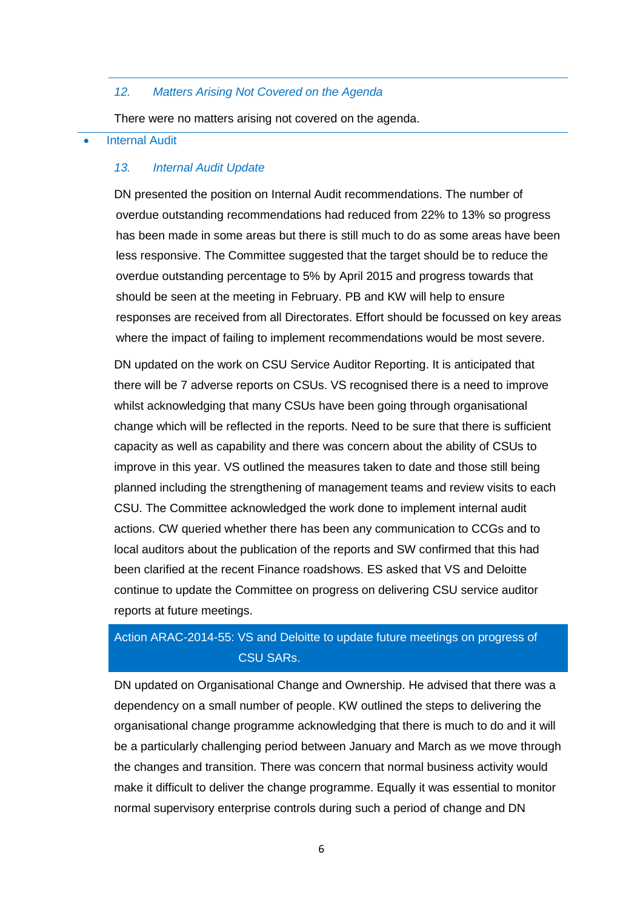#### *12. Matters Arising Not Covered on the Agenda*

There were no matters arising not covered on the agenda.

#### Internal Audit

#### *13. Internal Audit Update*

DN presented the position on Internal Audit recommendations. The number of overdue outstanding recommendations had reduced from 22% to 13% so progress has been made in some areas but there is still much to do as some areas have been less responsive. The Committee suggested that the target should be to reduce the overdue outstanding percentage to 5% by April 2015 and progress towards that should be seen at the meeting in February. PB and KW will help to ensure responses are received from all Directorates. Effort should be focussed on key areas where the impact of failing to implement recommendations would be most severe.

DN updated on the work on CSU Service Auditor Reporting. It is anticipated that there will be 7 adverse reports on CSUs. VS recognised there is a need to improve whilst acknowledging that many CSUs have been going through organisational change which will be reflected in the reports. Need to be sure that there is sufficient capacity as well as capability and there was concern about the ability of CSUs to improve in this year. VS outlined the measures taken to date and those still being planned including the strengthening of management teams and review visits to each CSU. The Committee acknowledged the work done to implement internal audit actions. CW queried whether there has been any communication to CCGs and to local auditors about the publication of the reports and SW confirmed that this had been clarified at the recent Finance roadshows. ES asked that VS and Deloitte continue to update the Committee on progress on delivering CSU service auditor reports at future meetings.

# Action ARAC-2014-55: VS and Deloitte to update future meetings on progress of CSU SARs.

DN updated on Organisational Change and Ownership. He advised that there was a dependency on a small number of people. KW outlined the steps to delivering the organisational change programme acknowledging that there is much to do and it will be a particularly challenging period between January and March as we move through the changes and transition. There was concern that normal business activity would make it difficult to deliver the change programme. Equally it was essential to monitor normal supervisory enterprise controls during such a period of change and DN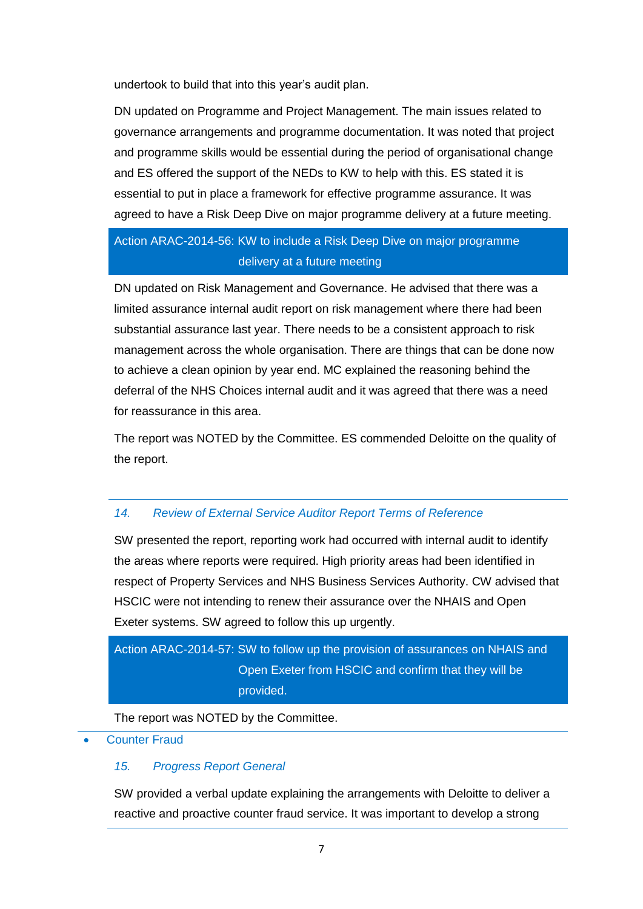undertook to build that into this year's audit plan.

DN updated on Programme and Project Management. The main issues related to governance arrangements and programme documentation. It was noted that project and programme skills would be essential during the period of organisational change and ES offered the support of the NEDs to KW to help with this. ES stated it is essential to put in place a framework for effective programme assurance. It was agreed to have a Risk Deep Dive on major programme delivery at a future meeting.

# Action ARAC-2014-56: KW to include a Risk Deep Dive on major programme delivery at a future meeting

DN updated on Risk Management and Governance. He advised that there was a limited assurance internal audit report on risk management where there had been substantial assurance last year. There needs to be a consistent approach to risk management across the whole organisation. There are things that can be done now to achieve a clean opinion by year end. MC explained the reasoning behind the deferral of the NHS Choices internal audit and it was agreed that there was a need for reassurance in this area.

The report was NOTED by the Committee. ES commended Deloitte on the quality of the report.

# *14. Review of External Service Auditor Report Terms of Reference*

SW presented the report, reporting work had occurred with internal audit to identify the areas where reports were required. High priority areas had been identified in respect of Property Services and NHS Business Services Authority. CW advised that HSCIC were not intending to renew their assurance over the NHAIS and Open Exeter systems. SW agreed to follow this up urgently.

# Action ARAC-2014-57: SW to follow up the provision of assurances on NHAIS and Open Exeter from HSCIC and confirm that they will be provided.

The report was NOTED by the Committee.

Counter Fraud

# *15. Progress Report General*

SW provided a verbal update explaining the arrangements with Deloitte to deliver a reactive and proactive counter fraud service. It was important to develop a strong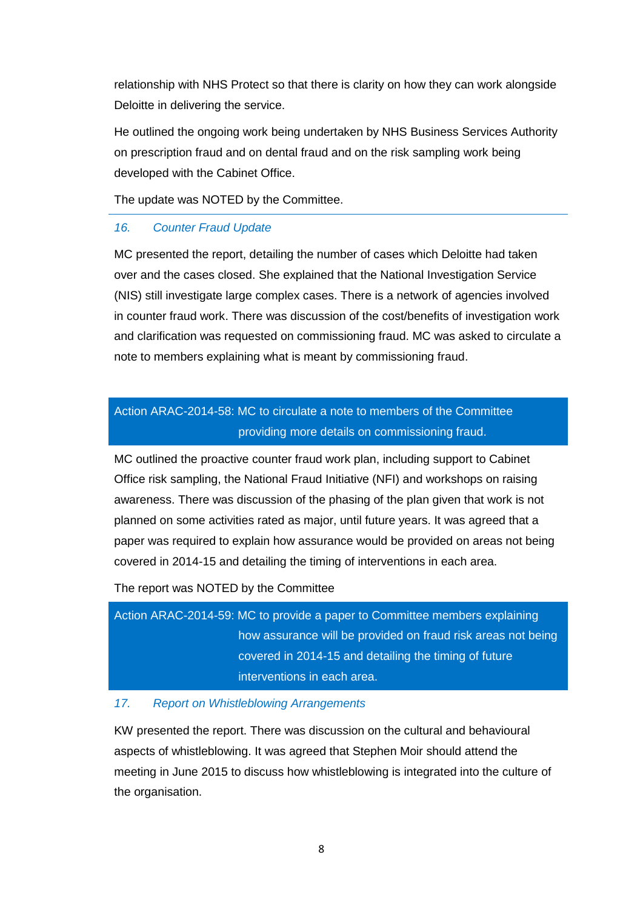relationship with NHS Protect so that there is clarity on how they can work alongside Deloitte in delivering the service.

He outlined the ongoing work being undertaken by NHS Business Services Authority on prescription fraud and on dental fraud and on the risk sampling work being developed with the Cabinet Office.

The update was NOTED by the Committee.

#### *16. Counter Fraud Update*

MC presented the report, detailing the number of cases which Deloitte had taken over and the cases closed. She explained that the National Investigation Service (NIS) still investigate large complex cases. There is a network of agencies involved in counter fraud work. There was discussion of the cost/benefits of investigation work and clarification was requested on commissioning fraud. MC was asked to circulate a note to members explaining what is meant by commissioning fraud.

# Action ARAC-2014-58: MC to circulate a note to members of the Committee providing more details on commissioning fraud.

MC outlined the proactive counter fraud work plan, including support to Cabinet Office risk sampling, the National Fraud Initiative (NFI) and workshops on raising awareness. There was discussion of the phasing of the plan given that work is not planned on some activities rated as major, until future years. It was agreed that a paper was required to explain how assurance would be provided on areas not being covered in 2014-15 and detailing the timing of interventions in each area.

The report was NOTED by the Committee

Action ARAC-2014-59: MC to provide a paper to Committee members explaining how assurance will be provided on fraud risk areas not being covered in 2014-15 and detailing the timing of future interventions in each area.

#### *17. Report on Whistleblowing Arrangements*

KW presented the report. There was discussion on the cultural and behavioural aspects of whistleblowing. It was agreed that Stephen Moir should attend the meeting in June 2015 to discuss how whistleblowing is integrated into the culture of the organisation.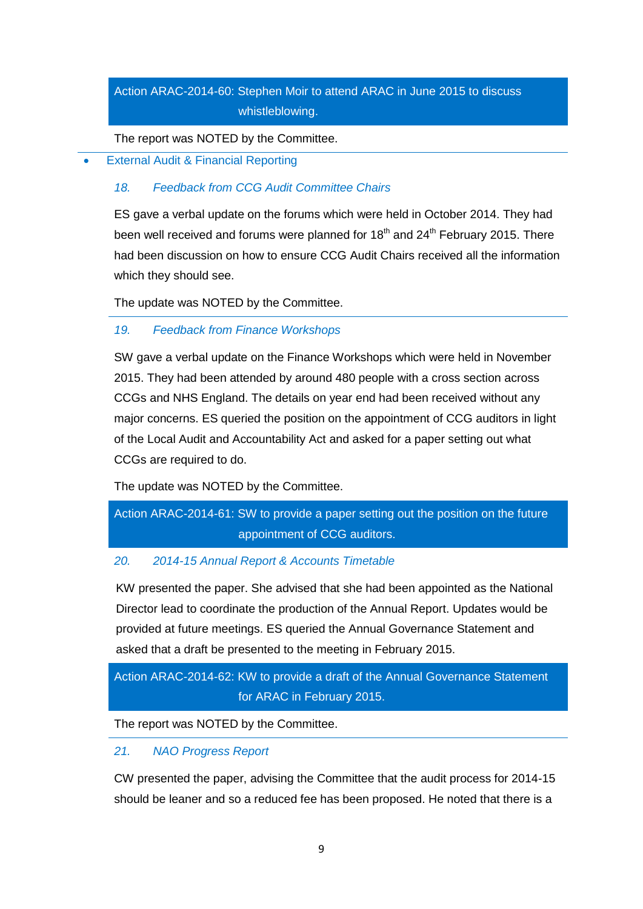# Action ARAC-2014-60: Stephen Moir to attend ARAC in June 2015 to discuss whistleblowing.

The report was NOTED by the Committee.

External Audit & Financial Reporting

## *18. Feedback from CCG Audit Committee Chairs*

ES gave a verbal update on the forums which were held in October 2014. They had been well received and forums were planned for  $18<sup>th</sup>$  and  $24<sup>th</sup>$  February 2015. There had been discussion on how to ensure CCG Audit Chairs received all the information which they should see.

The update was NOTED by the Committee.

## *19. Feedback from Finance Workshops*

SW gave a verbal update on the Finance Workshops which were held in November 2015. They had been attended by around 480 people with a cross section across CCGs and NHS England. The details on year end had been received without any major concerns. ES queried the position on the appointment of CCG auditors in light of the Local Audit and Accountability Act and asked for a paper setting out what CCGs are required to do.

The update was NOTED by the Committee.

# Action ARAC-2014-61: SW to provide a paper setting out the position on the future appointment of CCG auditors.

# *20. 2014-15 Annual Report & Accounts Timetable*

KW presented the paper. She advised that she had been appointed as the National Director lead to coordinate the production of the Annual Report. Updates would be provided at future meetings. ES queried the Annual Governance Statement and asked that a draft be presented to the meeting in February 2015.

# Action ARAC-2014-62: KW to provide a draft of the Annual Governance Statement for ARAC in February 2015.

The report was NOTED by the Committee.

## *21. NAO Progress Report*

CW presented the paper, advising the Committee that the audit process for 2014-15 should be leaner and so a reduced fee has been proposed. He noted that there is a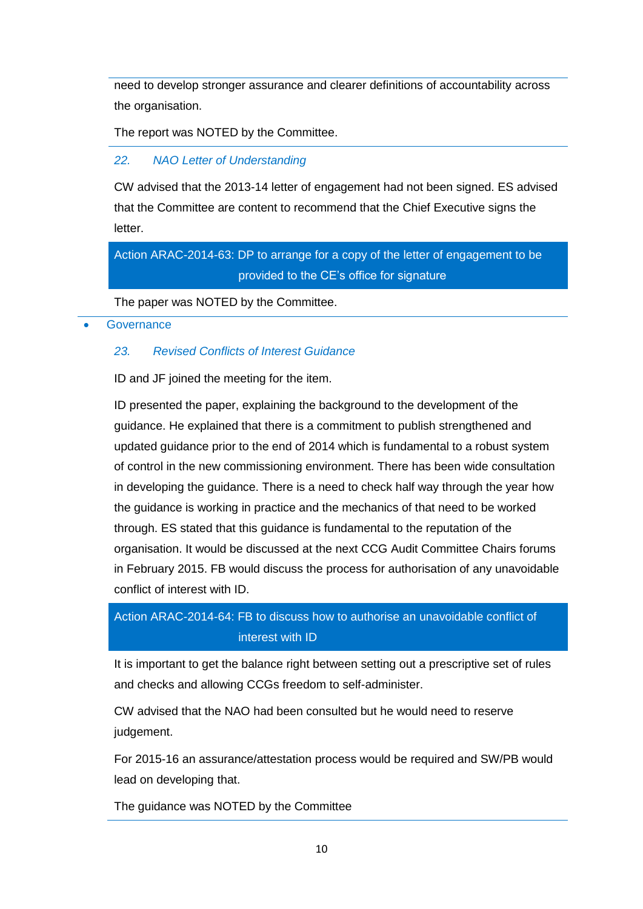need to develop stronger assurance and clearer definitions of accountability across the organisation.

The report was NOTED by the Committee.

## *22. NAO Letter of Understanding*

CW advised that the 2013-14 letter of engagement had not been signed. ES advised that the Committee are content to recommend that the Chief Executive signs the letter.

# Action ARAC-2014-63: DP to arrange for a copy of the letter of engagement to be provided to the CE's office for signature

The paper was NOTED by the Committee.

#### **Governance**

## *23. Revised Conflicts of Interest Guidance*

ID and JF joined the meeting for the item.

ID presented the paper, explaining the background to the development of the guidance. He explained that there is a commitment to publish strengthened and updated guidance prior to the end of 2014 which is fundamental to a robust system of control in the new commissioning environment. There has been wide consultation in developing the guidance. There is a need to check half way through the year how the guidance is working in practice and the mechanics of that need to be worked through. ES stated that this guidance is fundamental to the reputation of the organisation. It would be discussed at the next CCG Audit Committee Chairs forums in February 2015. FB would discuss the process for authorisation of any unavoidable conflict of interest with ID.

# Action ARAC-2014-64: FB to discuss how to authorise an unavoidable conflict of interest with ID

It is important to get the balance right between setting out a prescriptive set of rules and checks and allowing CCGs freedom to self-administer.

CW advised that the NAO had been consulted but he would need to reserve judgement.

For 2015-16 an assurance/attestation process would be required and SW/PB would lead on developing that.

The guidance was NOTED by the Committee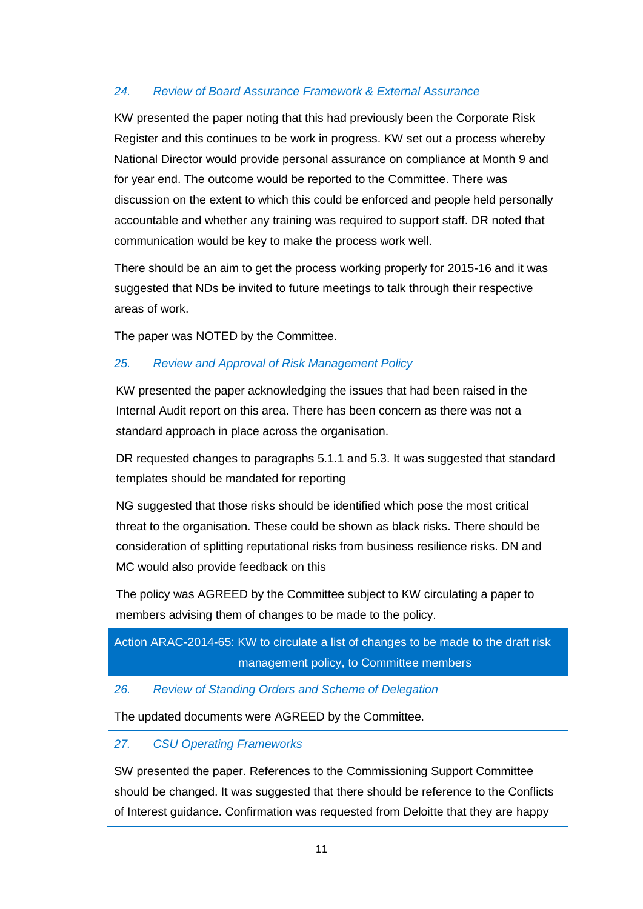## *24. Review of Board Assurance Framework & External Assurance*

KW presented the paper noting that this had previously been the Corporate Risk Register and this continues to be work in progress. KW set out a process whereby National Director would provide personal assurance on compliance at Month 9 and for year end. The outcome would be reported to the Committee. There was discussion on the extent to which this could be enforced and people held personally accountable and whether any training was required to support staff. DR noted that communication would be key to make the process work well.

There should be an aim to get the process working properly for 2015-16 and it was suggested that NDs be invited to future meetings to talk through their respective areas of work.

The paper was NOTED by the Committee.

## *25. Review and Approval of Risk Management Policy*

KW presented the paper acknowledging the issues that had been raised in the Internal Audit report on this area. There has been concern as there was not a standard approach in place across the organisation.

DR requested changes to paragraphs 5.1.1 and 5.3. It was suggested that standard templates should be mandated for reporting

NG suggested that those risks should be identified which pose the most critical threat to the organisation. These could be shown as black risks. There should be consideration of splitting reputational risks from business resilience risks. DN and MC would also provide feedback on this

The policy was AGREED by the Committee subject to KW circulating a paper to members advising them of changes to be made to the policy.

# Action ARAC-2014-65: KW to circulate a list of changes to be made to the draft risk management policy, to Committee members

## *26. Review of Standing Orders and Scheme of Delegation*

The updated documents were AGREED by the Committee.

## *27. CSU Operating Frameworks*

SW presented the paper. References to the Commissioning Support Committee should be changed. It was suggested that there should be reference to the Conflicts of Interest guidance. Confirmation was requested from Deloitte that they are happy